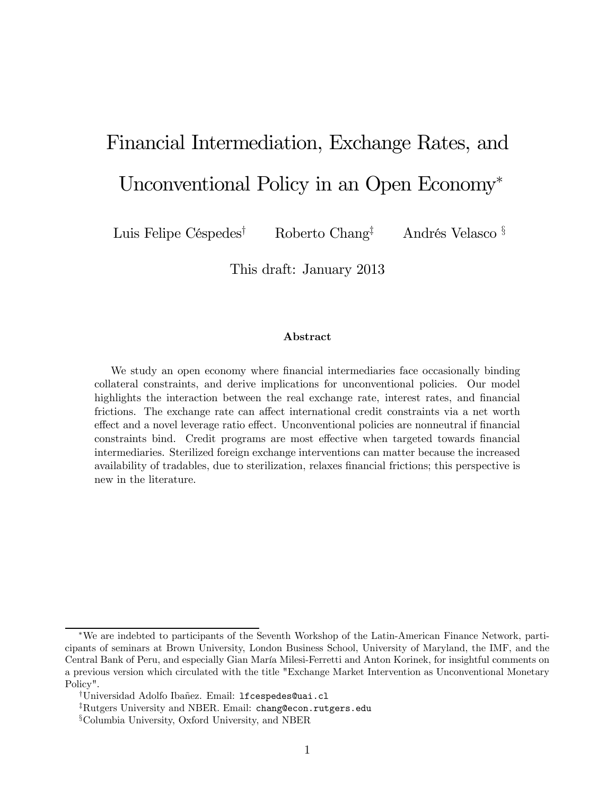# Financial Intermediation, Exchange Rates, and Unconventional Policy in an Open Economy<sup>∗</sup>

Luis Felipe Céspedes<sup>†</sup> Roberto Chang<sup>‡</sup> Andrés Velasco §

This draft: January 2013

#### Abstract

We study an open economy where financial intermediaries face occasionally binding collateral constraints, and derive implications for unconventional policies. Our model highlights the interaction between the real exchange rate, interest rates, and financial frictions. The exchange rate can affect international credit constraints via a net worth effect and a novel leverage ratio effect. Unconventional policies are nonneutral if financial constraints bind. Credit programs are most effective when targeted towards financial intermediaries. Sterilized foreign exchange interventions can matter because the increased availability of tradables, due to sterilization, relaxes financial frictions; this perspective is new in the literature.

<sup>∗</sup>We are indebted to participants of the Seventh Workshop of the Latin-American Finance Network, participants of seminars at Brown University, London Business School, University of Maryland, the IMF, and the Central Bank of Peru, and especially Gian María Milesi-Ferretti and Anton Korinek, for insightful comments on a previous version which circulated with the title "Exchange Market Intervention as Unconventional Monetary Policy".

<sup>†</sup>Universidad Adolfo Ibañez. Email: lfcespedes@uai.cl

<sup>‡</sup>Rutgers University and NBER. Email: chang@econ.rutgers.edu

<sup>§</sup>Columbia University, Oxford University, and NBER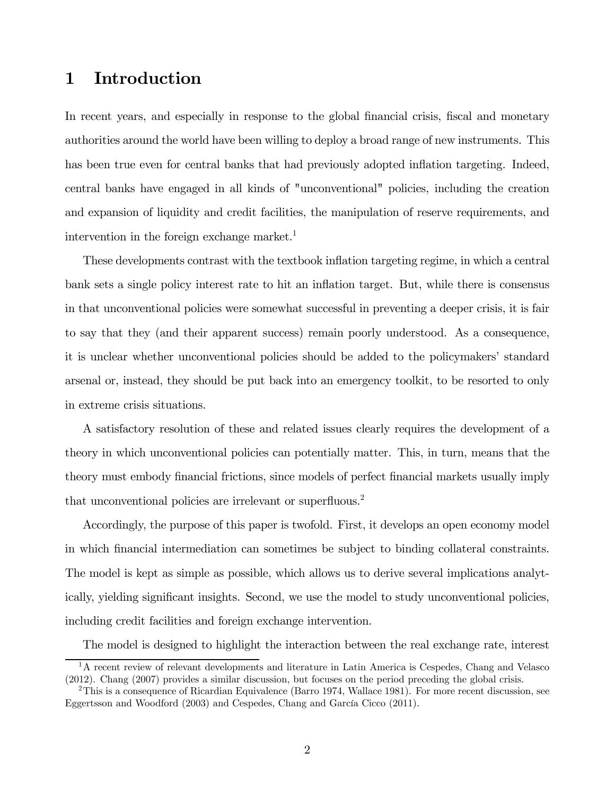# 1 Introduction

In recent years, and especially in response to the global financial crisis, fiscal and monetary authorities around the world have been willing to deploy a broad range of new instruments. This has been true even for central banks that had previously adopted inflation targeting. Indeed, central banks have engaged in all kinds of "unconventional" policies, including the creation and expansion of liquidity and credit facilities, the manipulation of reserve requirements, and intervention in the foreign exchange market.<sup>1</sup>

These developments contrast with the textbook inflation targeting regime, in which a central bank sets a single policy interest rate to hit an inflation target. But, while there is consensus in that unconventional policies were somewhat successful in preventing a deeper crisis, it is fair to say that they (and their apparent success) remain poorly understood. As a consequence, it is unclear whether unconventional policies should be added to the policymakers' standard arsenal or, instead, they should be put back into an emergency toolkit, to be resorted to only in extreme crisis situations.

A satisfactory resolution of these and related issues clearly requires the development of a theory in which unconventional policies can potentially matter. This, in turn, means that the theory must embody financial frictions, since models of perfect financial markets usually imply that unconventional policies are irrelevant or superfluous.<sup>2</sup>

Accordingly, the purpose of this paper is twofold. First, it develops an open economy model in which financial intermediation can sometimes be subject to binding collateral constraints. The model is kept as simple as possible, which allows us to derive several implications analytically, yielding significant insights. Second, we use the model to study unconventional policies, including credit facilities and foreign exchange intervention.

The model is designed to highlight the interaction between the real exchange rate, interest

<sup>&</sup>lt;sup>1</sup>A recent review of relevant developments and literature in Latin America is Cespedes, Chang and Velasco (2012). Chang (2007) provides a similar discussion, but focuses on the period preceding the global crisis.

<sup>&</sup>lt;sup>2</sup>This is a consequence of Ricardian Equivalence (Barro 1974, Wallace 1981). For more recent discussion, see Eggertsson and Woodford (2003) and Cespedes, Chang and García Cicco (2011).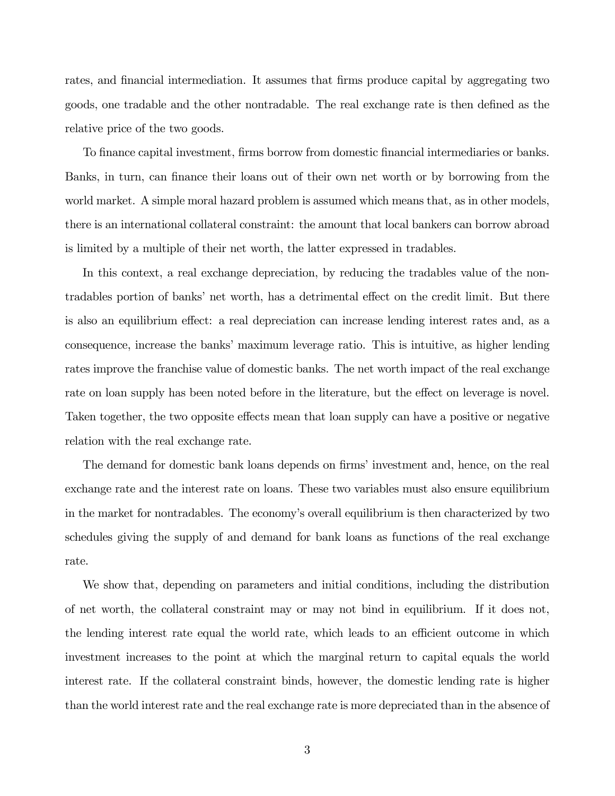rates, and financial intermediation. It assumes that firms produce capital by aggregating two goods, one tradable and the other nontradable. The real exchange rate is then defined as the relative price of the two goods.

To finance capital investment, firms borrow from domestic financial intermediaries or banks. Banks, in turn, can finance their loans out of their own net worth or by borrowing from the world market. A simple moral hazard problem is assumed which means that, as in other models, there is an international collateral constraint: the amount that local bankers can borrow abroad is limited by a multiple of their net worth, the latter expressed in tradables.

In this context, a real exchange depreciation, by reducing the tradables value of the nontradables portion of banks' net worth, has a detrimental effect on the credit limit. But there is also an equilibrium effect: a real depreciation can increase lending interest rates and, as a consequence, increase the banks' maximum leverage ratio. This is intuitive, as higher lending rates improve the franchise value of domestic banks. The net worth impact of the real exchange rate on loan supply has been noted before in the literature, but the effect on leverage is novel. Taken together, the two opposite effects mean that loan supply can have a positive or negative relation with the real exchange rate.

The demand for domestic bank loans depends on firms' investment and, hence, on the real exchange rate and the interest rate on loans. These two variables must also ensure equilibrium in the market for nontradables. The economy's overall equilibrium is then characterized by two schedules giving the supply of and demand for bank loans as functions of the real exchange rate.

We show that, depending on parameters and initial conditions, including the distribution of net worth, the collateral constraint may or may not bind in equilibrium. If it does not, the lending interest rate equal the world rate, which leads to an efficient outcome in which investment increases to the point at which the marginal return to capital equals the world interest rate. If the collateral constraint binds, however, the domestic lending rate is higher than the world interest rate and the real exchange rate is more depreciated than in the absence of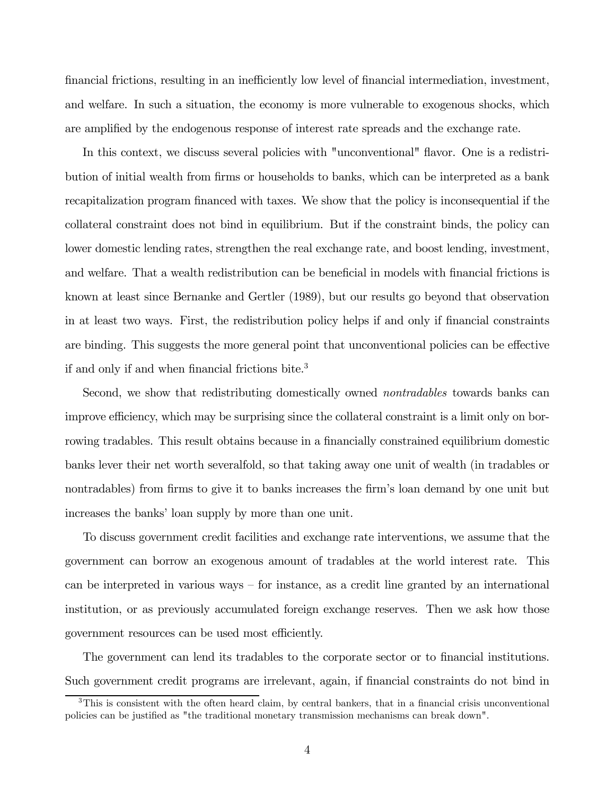financial frictions, resulting in an inefficiently low level of financial intermediation, investment, and welfare. In such a situation, the economy is more vulnerable to exogenous shocks, which are amplified by the endogenous response of interest rate spreads and the exchange rate.

In this context, we discuss several policies with "unconventional" flavor. One is a redistribution of initial wealth from firms or households to banks, which can be interpreted as a bank recapitalization program financed with taxes. We show that the policy is inconsequential if the collateral constraint does not bind in equilibrium. But if the constraint binds, the policy can lower domestic lending rates, strengthen the real exchange rate, and boost lending, investment, and welfare. That a wealth redistribution can be beneficial in models with financial frictions is known at least since Bernanke and Gertler (1989), but our results go beyond that observation in at least two ways. First, the redistribution policy helps if and only if financial constraints are binding. This suggests the more general point that unconventional policies can be effective if and only if and when financial frictions bite.<sup>3</sup>

Second, we show that redistributing domestically owned nontradables towards banks can improve efficiency, which may be surprising since the collateral constraint is a limit only on borrowing tradables. This result obtains because in a financially constrained equilibrium domestic banks lever their net worth severalfold, so that taking away one unit of wealth (in tradables or nontradables) from firms to give it to banks increases the firm's loan demand by one unit but increases the banks' loan supply by more than one unit.

To discuss government credit facilities and exchange rate interventions, we assume that the government can borrow an exogenous amount of tradables at the world interest rate. This can be interpreted in various ways — for instance, as a credit line granted by an international institution, or as previously accumulated foreign exchange reserves. Then we ask how those government resources can be used most efficiently.

The government can lend its tradables to the corporate sector or to financial institutions. Such government credit programs are irrelevant, again, if financial constraints do not bind in

<sup>3</sup>This is consistent with the often heard claim, by central bankers, that in a financial crisis unconventional policies can be justified as "the traditional monetary transmission mechanisms can break down".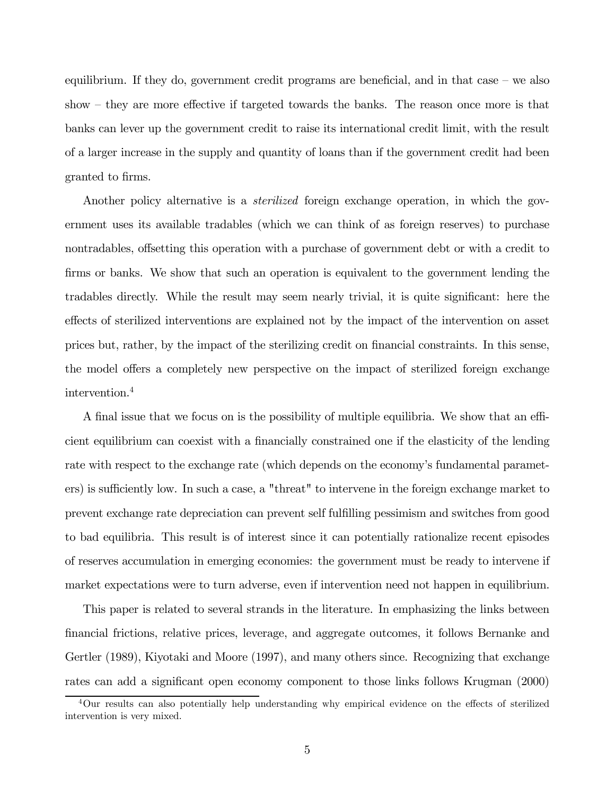equilibrium. If they do, government credit programs are beneficial, and in that case — we also show — they are more effective if targeted towards the banks. The reason once more is that banks can lever up the government credit to raise its international credit limit, with the result of a larger increase in the supply and quantity of loans than if the government credit had been granted to firms.

Another policy alternative is a *sterilized* foreign exchange operation, in which the government uses its available tradables (which we can think of as foreign reserves) to purchase nontradables, offsetting this operation with a purchase of government debt or with a credit to firms or banks. We show that such an operation is equivalent to the government lending the tradables directly. While the result may seem nearly trivial, it is quite significant: here the effects of sterilized interventions are explained not by the impact of the intervention on asset prices but, rather, by the impact of the sterilizing credit on financial constraints. In this sense, the model offers a completely new perspective on the impact of sterilized foreign exchange intervention.4

A final issue that we focus on is the possibility of multiple equilibria. We show that an efficient equilibrium can coexist with a financially constrained one if the elasticity of the lending rate with respect to the exchange rate (which depends on the economy's fundamental parameters) is sufficiently low. In such a case, a "threat" to intervene in the foreign exchange market to prevent exchange rate depreciation can prevent self fulfilling pessimism and switches from good to bad equilibria. This result is of interest since it can potentially rationalize recent episodes of reserves accumulation in emerging economies: the government must be ready to intervene if market expectations were to turn adverse, even if intervention need not happen in equilibrium.

This paper is related to several strands in the literature. In emphasizing the links between financial frictions, relative prices, leverage, and aggregate outcomes, it follows Bernanke and Gertler (1989), Kiyotaki and Moore (1997), and many others since. Recognizing that exchange rates can add a significant open economy component to those links follows Krugman (2000)

<sup>4</sup>Our results can also potentially help understanding why empirical evidence on the effects of sterilized intervention is very mixed.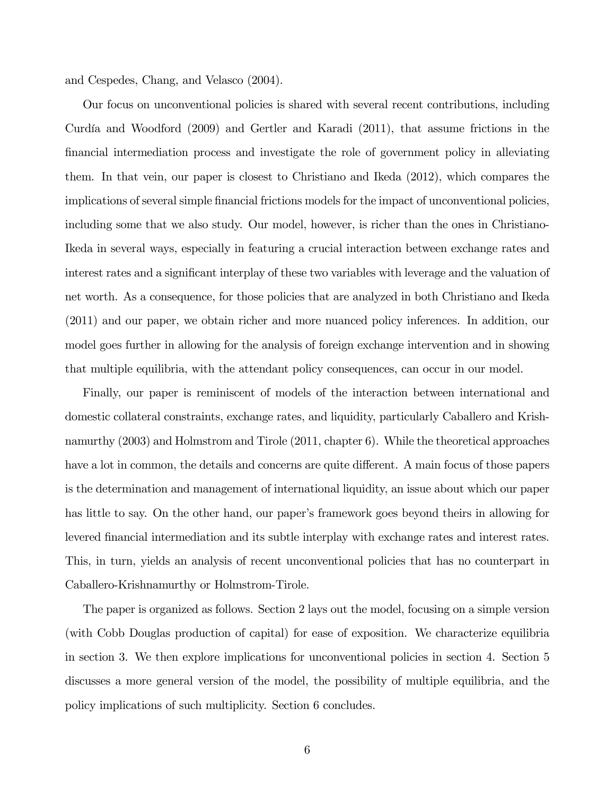and Cespedes, Chang, and Velasco (2004).

Our focus on unconventional policies is shared with several recent contributions, including Curdía and Woodford (2009) and Gertler and Karadi (2011), that assume frictions in the financial intermediation process and investigate the role of government policy in alleviating them. In that vein, our paper is closest to Christiano and Ikeda (2012), which compares the implications of several simple financial frictions models for the impact of unconventional policies, including some that we also study. Our model, however, is richer than the ones in Christiano-Ikeda in several ways, especially in featuring a crucial interaction between exchange rates and interest rates and a significant interplay of these two variables with leverage and the valuation of net worth. As a consequence, for those policies that are analyzed in both Christiano and Ikeda (2011) and our paper, we obtain richer and more nuanced policy inferences. In addition, our model goes further in allowing for the analysis of foreign exchange intervention and in showing that multiple equilibria, with the attendant policy consequences, can occur in our model.

Finally, our paper is reminiscent of models of the interaction between international and domestic collateral constraints, exchange rates, and liquidity, particularly Caballero and Krishnamurthy (2003) and Holmstrom and Tirole (2011, chapter 6). While the theoretical approaches have a lot in common, the details and concerns are quite different. A main focus of those papers is the determination and management of international liquidity, an issue about which our paper has little to say. On the other hand, our paper's framework goes beyond theirs in allowing for levered financial intermediation and its subtle interplay with exchange rates and interest rates. This, in turn, yields an analysis of recent unconventional policies that has no counterpart in Caballero-Krishnamurthy or Holmstrom-Tirole.

The paper is organized as follows. Section 2 lays out the model, focusing on a simple version (with Cobb Douglas production of capital) for ease of exposition. We characterize equilibria in section 3. We then explore implications for unconventional policies in section 4. Section 5 discusses a more general version of the model, the possibility of multiple equilibria, and the policy implications of such multiplicity. Section 6 concludes.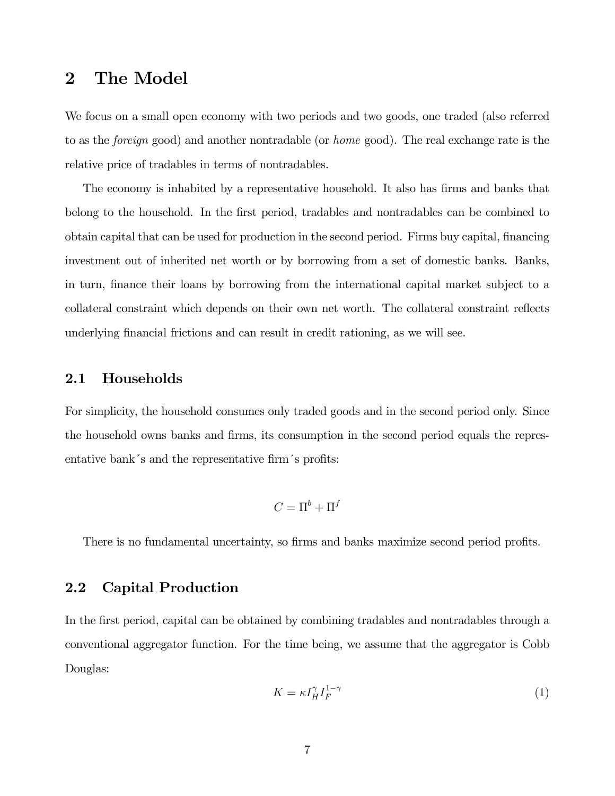## 2 The Model

We focus on a small open economy with two periods and two goods, one traded (also referred to as the foreign good) and another nontradable (or home good). The real exchange rate is the relative price of tradables in terms of nontradables.

The economy is inhabited by a representative household. It also has firms and banks that belong to the household. In the first period, tradables and nontradables can be combined to obtain capital that can be used for production in the second period. Firms buy capital, financing investment out of inherited net worth or by borrowing from a set of domestic banks. Banks, in turn, finance their loans by borrowing from the international capital market subject to a collateral constraint which depends on their own net worth. The collateral constraint reflects underlying financial frictions and can result in credit rationing, as we will see.

#### 2.1 Households

For simplicity, the household consumes only traded goods and in the second period only. Since the household owns banks and firms, its consumption in the second period equals the representative bank´s and the representative firm´s profits:

$$
C=\Pi^b+\Pi^f
$$

There is no fundamental uncertainty, so firms and banks maximize second period profits.

### 2.2 Capital Production

In the first period, capital can be obtained by combining tradables and nontradables through a conventional aggregator function. For the time being, we assume that the aggregator is Cobb Douglas:

$$
K = \kappa I_H^{\gamma} I_F^{1-\gamma} \tag{1}
$$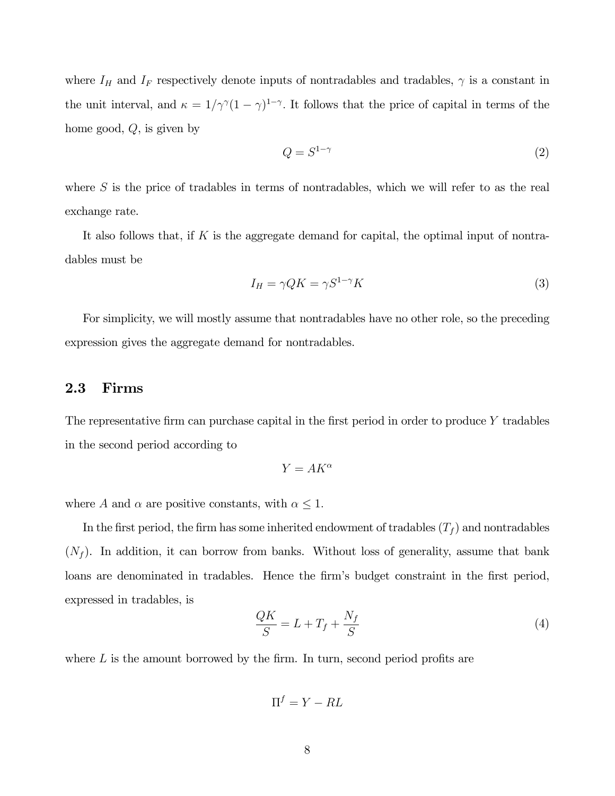where  $I_H$  and  $I_F$  respectively denote inputs of nontradables and tradables,  $\gamma$  is a constant in the unit interval, and  $\kappa = 1/\gamma^{\gamma}(1-\gamma)^{1-\gamma}$ . It follows that the price of capital in terms of the home good,  $Q$ , is given by

$$
Q = S^{1-\gamma} \tag{2}
$$

where  $S$  is the price of tradables in terms of nontradables, which we will refer to as the real exchange rate.

It also follows that, if  $K$  is the aggregate demand for capital, the optimal input of nontradables must be

$$
I_H = \gamma Q K = \gamma S^{1-\gamma} K \tag{3}
$$

For simplicity, we will mostly assume that nontradables have no other role, so the preceding expression gives the aggregate demand for nontradables.

#### 2.3 Firms

The representative firm can purchase capital in the first period in order to produce  $Y$  tradables in the second period according to

$$
Y = AK^\alpha
$$

where A and  $\alpha$  are positive constants, with  $\alpha \leq 1$ .

In the first period, the firm has some inherited endowment of tradables  $(T_f)$  and nontradables  $(N_f)$ . In addition, it can borrow from banks. Without loss of generality, assume that bank loans are denominated in tradables. Hence the firm's budget constraint in the first period, expressed in tradables, is

$$
\frac{QK}{S} = L + T_f + \frac{N_f}{S} \tag{4}
$$

where  $L$  is the amount borrowed by the firm. In turn, second period profits are

$$
\Pi^f = Y - RL
$$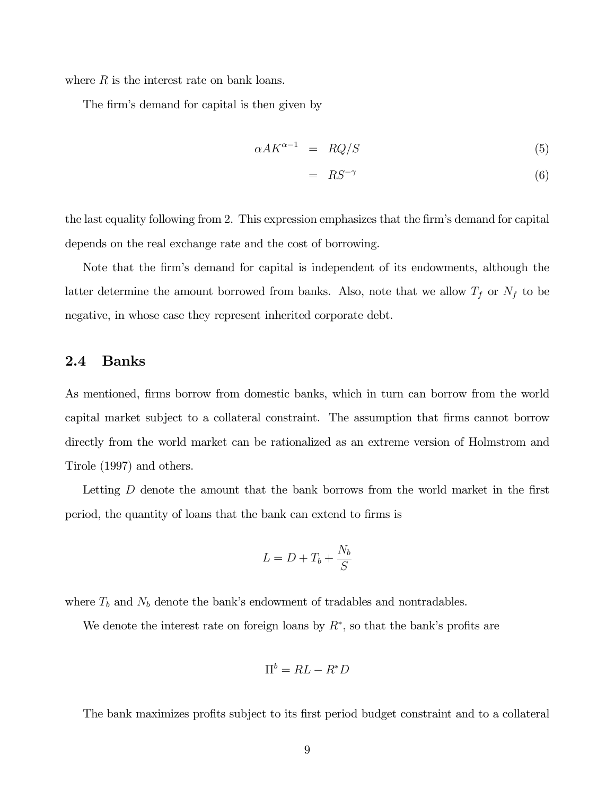where  $R$  is the interest rate on bank loans.

The firm's demand for capital is then given by

$$
\alpha A K^{\alpha - 1} = RQ/S \tag{5}
$$

$$
= RS^{-\gamma} \tag{6}
$$

the last equality following from 2. This expression emphasizes that the firm's demand for capital depends on the real exchange rate and the cost of borrowing.

Note that the firm's demand for capital is independent of its endowments, although the latter determine the amount borrowed from banks. Also, note that we allow  $T_f$  or  $N_f$  to be negative, in whose case they represent inherited corporate debt.

#### 2.4 Banks

As mentioned, firms borrow from domestic banks, which in turn can borrow from the world capital market subject to a collateral constraint. The assumption that firms cannot borrow directly from the world market can be rationalized as an extreme version of Holmstrom and Tirole (1997) and others.

Letting  $D$  denote the amount that the bank borrows from the world market in the first period, the quantity of loans that the bank can extend to firms is

$$
L = D + T_b + \frac{N_b}{S}
$$

where  $T_b$  and  $N_b$  denote the bank's endowment of tradables and nontradables.

We denote the interest rate on foreign loans by  $R^*$ , so that the bank's profits are

$$
\Pi^b = RL - R^*D
$$

The bank maximizes profits subject to its first period budget constraint and to a collateral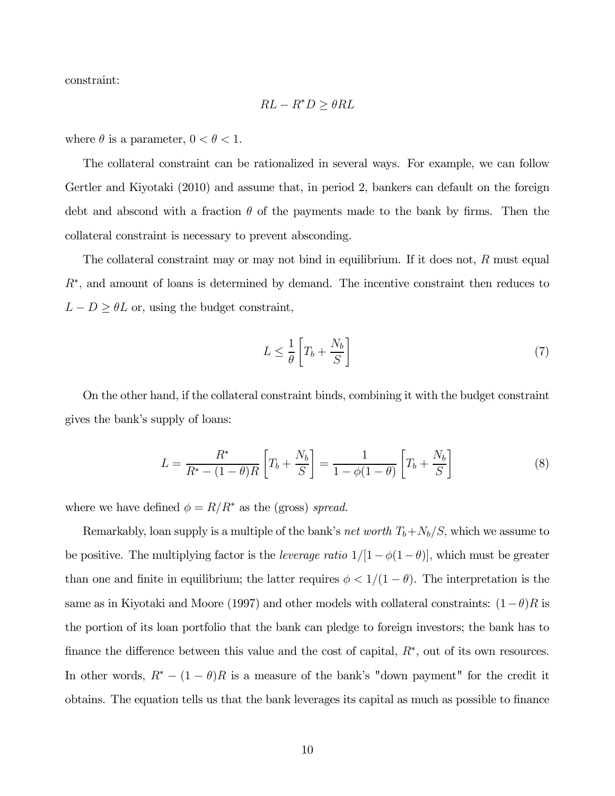constraint:

$$
RL - R^*D \ge \theta RL
$$

where  $\theta$  is a parameter,  $0 < \theta < 1$ .

The collateral constraint can be rationalized in several ways. For example, we can follow Gertler and Kiyotaki (2010) and assume that, in period 2, bankers can default on the foreign debt and abscond with a fraction  $\theta$  of the payments made to the bank by firms. Then the collateral constraint is necessary to prevent absconding.

The collateral constraint may or may not bind in equilibrium. If it does not,  $R$  must equal  $R^*$ , and amount of loans is determined by demand. The incentive constraint then reduces to  $L - D \geq \theta L$  or, using the budget constraint,

$$
L \le \frac{1}{\theta} \left[ T_b + \frac{N_b}{S} \right] \tag{7}
$$

On the other hand, if the collateral constraint binds, combining it with the budget constraint gives the bank's supply of loans:

$$
L = \frac{R^*}{R^* - (1 - \theta)R} \left[ T_b + \frac{N_b}{S} \right] = \frac{1}{1 - \phi(1 - \theta)} \left[ T_b + \frac{N_b}{S} \right]
$$
(8)

where we have defined  $\phi = R/R^*$  as the (gross) spread.

Remarkably, loan supply is a multiple of the bank's *net worth*  $T_b + N_b/S$ , which we assume to be positive. The multiplying factor is the *leverage ratio*  $1/[1-\phi(1-\theta)]$ , which must be greater than one and finite in equilibrium; the latter requires  $\phi < 1/(1 - \theta)$ . The interpretation is the same as in Kiyotaki and Moore (1997) and other models with collateral constraints:  $(1-\theta)R$  is the portion of its loan portfolio that the bank can pledge to foreign investors; the bank has to finance the difference between this value and the cost of capital,  $R^*$ , out of its own resources. In other words,  $R^* - (1 - \theta)R$  is a measure of the bank's "down payment" for the credit it obtains. The equation tells us that the bank leverages its capital as much as possible to finance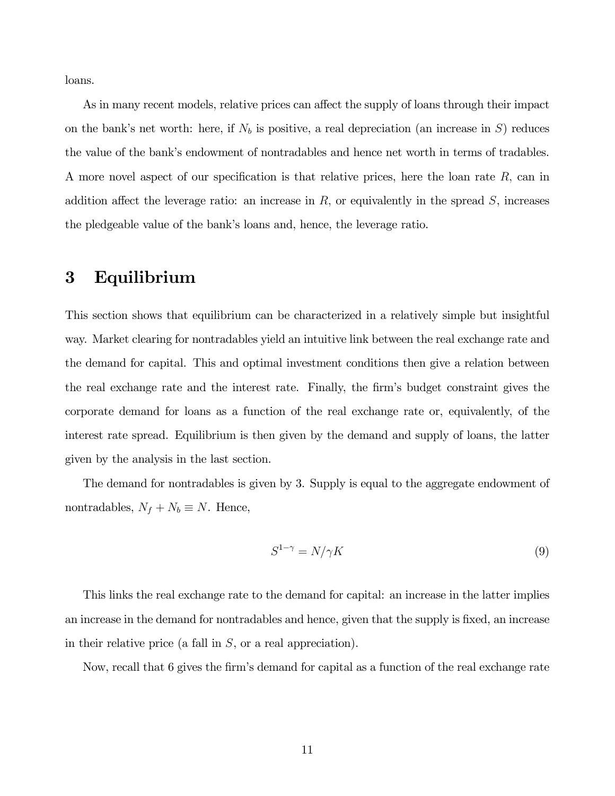loans.

As in many recent models, relative prices can affect the supply of loans through their impact on the bank's net worth: here, if  $N_b$  is positive, a real depreciation (an increase in S) reduces the value of the bank's endowment of nontradables and hence net worth in terms of tradables. A more novel aspect of our specification is that relative prices, here the loan rate  $R$ , can in addition affect the leverage ratio: an increase in  $R$ , or equivalently in the spread  $S$ , increases the pledgeable value of the bank's loans and, hence, the leverage ratio.

## 3 Equilibrium

This section shows that equilibrium can be characterized in a relatively simple but insightful way. Market clearing for nontradables yield an intuitive link between the real exchange rate and the demand for capital. This and optimal investment conditions then give a relation between the real exchange rate and the interest rate. Finally, the firm's budget constraint gives the corporate demand for loans as a function of the real exchange rate or, equivalently, of the interest rate spread. Equilibrium is then given by the demand and supply of loans, the latter given by the analysis in the last section.

The demand for nontradables is given by 3. Supply is equal to the aggregate endowment of nontradables,  $N_f + N_b \equiv N$ . Hence,

$$
S^{1-\gamma} = N/\gamma K \tag{9}
$$

This links the real exchange rate to the demand for capital: an increase in the latter implies an increase in the demand for nontradables and hence, given that the supply is fixed, an increase in their relative price (a fall in  $S$ , or a real appreciation).

Now, recall that 6 gives the firm's demand for capital as a function of the real exchange rate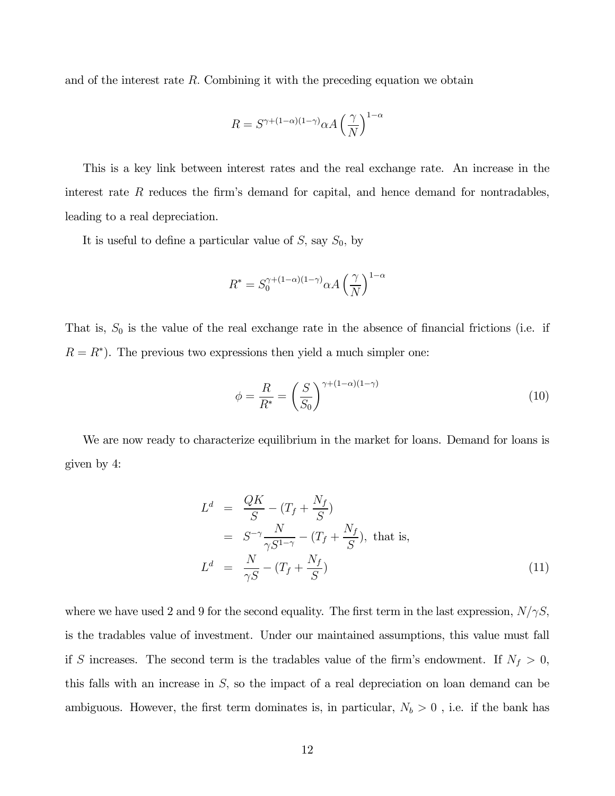and of the interest rate  $R$ . Combining it with the preceding equation we obtain

$$
R = S^{\gamma + (1 - \alpha)(1 - \gamma)} \alpha A \left(\frac{\gamma}{N}\right)^{1 - \alpha}
$$

This is a key link between interest rates and the real exchange rate. An increase in the interest rate  $R$  reduces the firm's demand for capital, and hence demand for nontradables, leading to a real depreciation.

It is useful to define a particular value of  $S$ , say  $S_0$ , by

$$
R^* = S_0^{\gamma + (1-\alpha)(1-\gamma)} \alpha A \left(\frac{\gamma}{N}\right)^{1-\alpha}
$$

That is,  $S_0$  is the value of the real exchange rate in the absence of financial frictions (i.e. if  $R = R^*$ ). The previous two expressions then yield a much simpler one:

$$
\phi = \frac{R}{R^*} = \left(\frac{S}{S_0}\right)^{\gamma + (1-\alpha)(1-\gamma)}\tag{10}
$$

We are now ready to characterize equilibrium in the market for loans. Demand for loans is given by 4:

$$
Ld = \frac{QK}{S} - (T_f + \frac{N_f}{S})
$$
  
=  $S^{-\gamma} \frac{N}{\gamma S^{1-\gamma}} - (T_f + \frac{N_f}{S})$ , that is,  

$$
Ld = \frac{N}{\gamma S} - (T_f + \frac{N_f}{S})
$$
 (11)

where we have used 2 and 9 for the second equality. The first term in the last expression,  $N/\gamma S$ , is the tradables value of investment. Under our maintained assumptions, this value must fall if S increases. The second term is the tradables value of the firm's endowment. If  $N_f > 0$ , this falls with an increase in  $S$ , so the impact of a real depreciation on loan demand can be ambiguous. However, the first term dominates is, in particular,  $N_b > 0$ , i.e. if the bank has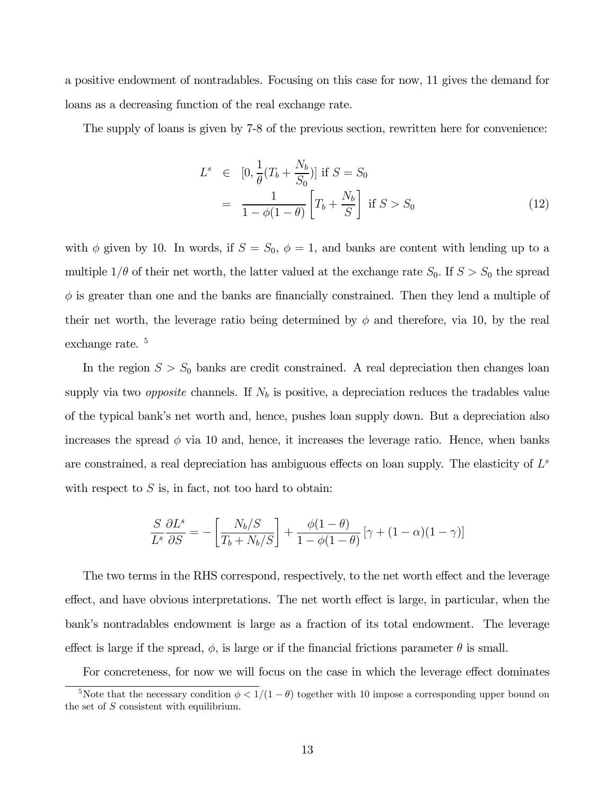a positive endowment of nontradables. Focusing on this case for now, 11 gives the demand for loans as a decreasing function of the real exchange rate.

The supply of loans is given by 7-8 of the previous section, rewritten here for convenience:

$$
L^{s} \in [0, \frac{1}{\theta}(T_b + \frac{N_b}{S_0})] \text{ if } S = S_0
$$
  
= 
$$
\frac{1}{1 - \phi(1 - \theta)} \left[ T_b + \frac{N_b}{S} \right] \text{ if } S > S_0
$$
 (12)

with  $\phi$  given by 10. In words, if  $S = S_0$ ,  $\phi = 1$ , and banks are content with lending up to a multiple  $1/\theta$  of their net worth, the latter valued at the exchange rate  $S_0$ . If  $S > S_0$  the spread  $\phi$  is greater than one and the banks are financially constrained. Then they lend a multiple of their net worth, the leverage ratio being determined by  $\phi$  and therefore, via 10, by the real exchange rate.<sup>5</sup>

In the region  $S > S_0$  banks are credit constrained. A real depreciation then changes loan supply via two *opposite* channels. If  $N_b$  is positive, a depreciation reduces the tradables value of the typical bank's net worth and, hence, pushes loan supply down. But a depreciation also increases the spread  $\phi$  via 10 and, hence, it increases the leverage ratio. Hence, when banks are constrained, a real depreciation has ambiguous effects on loan supply. The elasticity of  $L^s$ with respect to  $S$  is, in fact, not too hard to obtain:

$$
\frac{S}{L^s} \frac{\partial L^s}{\partial S} = -\left[ \frac{N_b/S}{T_b + N_b/S} \right] + \frac{\phi(1-\theta)}{1 - \phi(1-\theta)} \left[ \gamma + (1-\alpha)(1-\gamma) \right]
$$

The two terms in the RHS correspond, respectively, to the net worth effect and the leverage effect, and have obvious interpretations. The net worth effect is large, in particular, when the bank's nontradables endowment is large as a fraction of its total endowment. The leverage effect is large if the spread,  $\phi$ , is large or if the financial frictions parameter  $\theta$  is small.

For concreteness, for now we will focus on the case in which the leverage effect dominates

<sup>&</sup>lt;sup>5</sup>Note that the necessary condition  $\phi < 1/(1 - \theta)$  together with 10 impose a corresponding upper bound on the set of  $S$  consistent with equilibrium.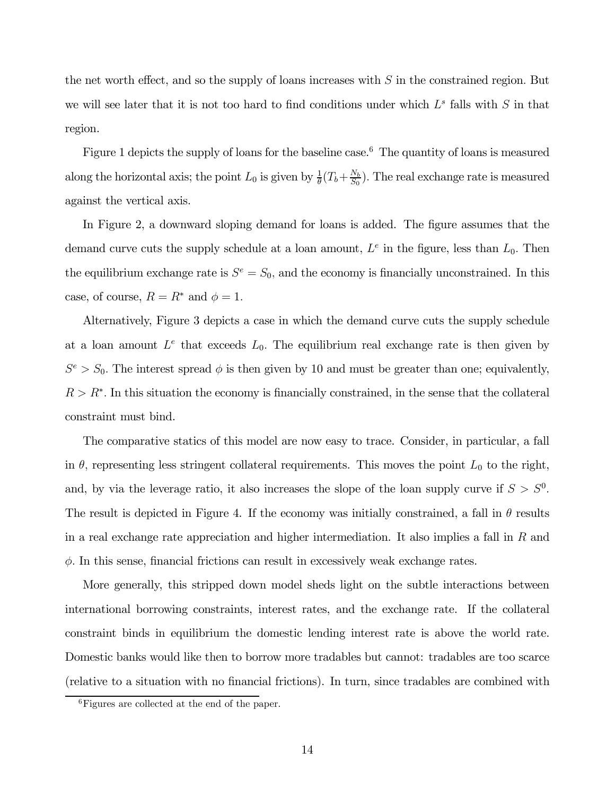the net worth effect, and so the supply of loans increases with  $S$  in the constrained region. But we will see later that it is not too hard to find conditions under which  $L^s$  falls with  $S$  in that region.

Figure 1 depicts the supply of loans for the baseline case.<sup>6</sup> The quantity of loans is measured along the horizontal axis; the point  $L_0$  is given by  $\frac{1}{\theta}(T_b + \frac{N_b}{S_0})$ . The real exchange rate is measured against the vertical axis.

In Figure 2, a downward sloping demand for loans is added. The figure assumes that the demand curve cuts the supply schedule at a loan amount,  $L<sup>e</sup>$  in the figure, less than  $L<sub>0</sub>$ . Then the equilibrium exchange rate is  $S^e = S_0$ , and the economy is financially unconstrained. In this case, of course,  $R = R^*$  and  $\phi = 1$ .

Alternatively, Figure 3 depicts a case in which the demand curve cuts the supply schedule at a loan amount  $L^e$  that exceeds  $L_0$ . The equilibrium real exchange rate is then given by  $S^e > S_0$ . The interest spread  $\phi$  is then given by 10 and must be greater than one; equivalently,  $R > R^*$ . In this situation the economy is financially constrained, in the sense that the collateral constraint must bind.

The comparative statics of this model are now easy to trace. Consider, in particular, a fall in  $\theta$ , representing less stringent collateral requirements. This moves the point  $L_0$  to the right, and, by via the leverage ratio, it also increases the slope of the loan supply curve if  $S > S^0$ . The result is depicted in Figure 4. If the economy was initially constrained, a fall in  $\theta$  results in a real exchange rate appreciation and higher intermediation. It also implies a fall in  $R$  and  $\phi$ . In this sense, financial frictions can result in excessively weak exchange rates.

More generally, this stripped down model sheds light on the subtle interactions between international borrowing constraints, interest rates, and the exchange rate. If the collateral constraint binds in equilibrium the domestic lending interest rate is above the world rate. Domestic banks would like then to borrow more tradables but cannot: tradables are too scarce (relative to a situation with no financial frictions). In turn, since tradables are combined with

<sup>6</sup>Figures are collected at the end of the paper.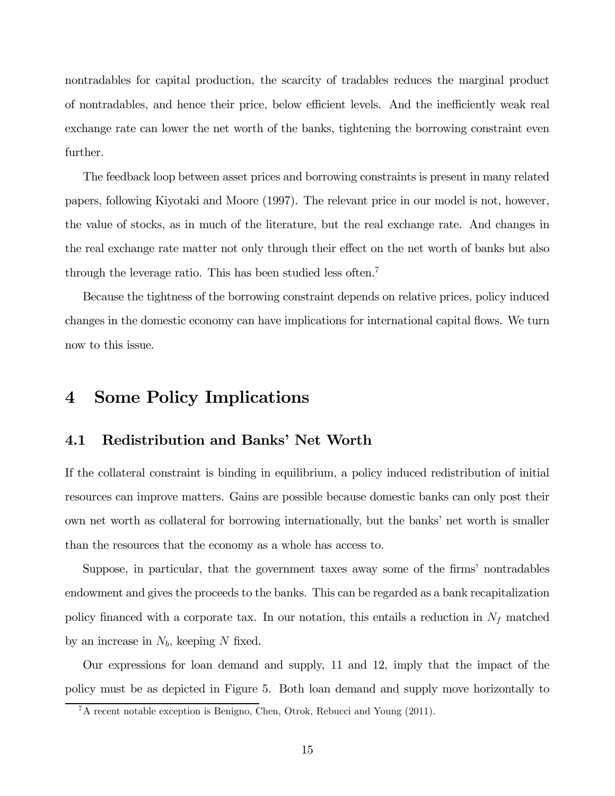nontradables for capital production, the scarcity of tradables reduces the marginal product of nontradables, and hence their price, below efficient levels. And the inefficiently weak real exchange rate can lower the net worth of the banks, tightening the borrowing constraint even further.

The feedback loop between asset prices and borrowing constraints is present in many related papers, following Kiyotaki and Moore (1997). The relevant price in our model is not, however, the value of stocks, as in much of the literature, but the real exchange rate. And changes in the real exchange rate matter not only through their effect on the net worth of banks but also through the leverage ratio. This has been studied less often.<sup>7</sup>

Because the tightness of the borrowing constraint depends on relative prices, policy induced changes in the domestic economy can have implications for international capital flows. We turn now to this issue.

## 4 Some Policy Implications

#### 4.1 Redistribution and Banks' Net Worth

If the collateral constraint is binding in equilibrium, a policy induced redistribution of initial resources can improve matters. Gains are possible because domestic banks can only post their own net worth as collateral for borrowing internationally, but the banks' net worth is smaller than the resources that the economy as a whole has access to.

Suppose, in particular, that the government taxes away some of the firms' nontradables endowment and gives the proceeds to the banks. This can be regarded as a bank recapitalization policy financed with a corporate tax. In our notation, this entails a reduction in  $N_f$  matched by an increase in  $N_b$ , keeping N fixed.

Our expressions for loan demand and supply, 11 and 12, imply that the impact of the policy must be as depicted in Figure 5. Both loan demand and supply move horizontally to

<sup>7</sup>A recent notable exception is Benigno, Chen, Otrok, Rebucci and Young (2011).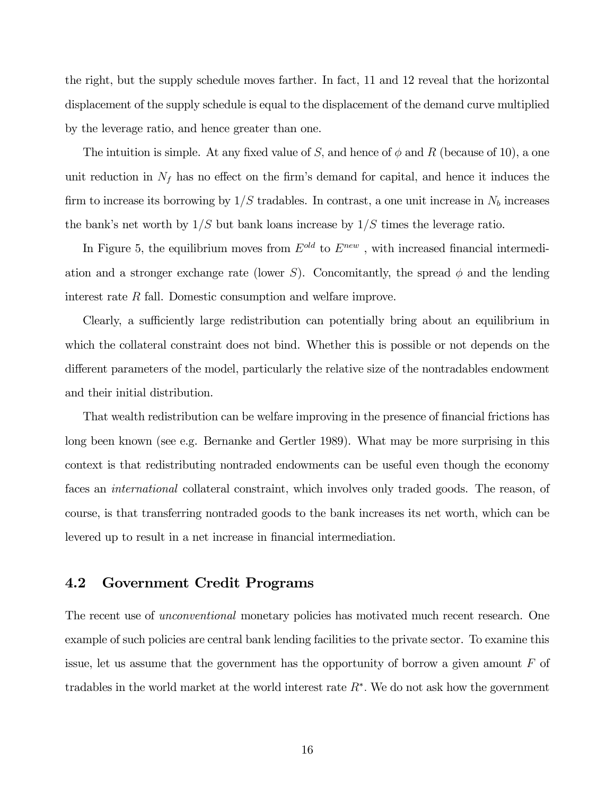the right, but the supply schedule moves farther. In fact, 11 and 12 reveal that the horizontal displacement of the supply schedule is equal to the displacement of the demand curve multiplied by the leverage ratio, and hence greater than one.

The intuition is simple. At any fixed value of S, and hence of  $\phi$  and R (because of 10), a one unit reduction in  $N_f$  has no effect on the firm's demand for capital, and hence it induces the firm to increase its borrowing by  $1/S$  tradables. In contrast, a one unit increase in  $N_b$  increases the bank's net worth by  $1/S$  but bank loans increase by  $1/S$  times the leverage ratio.

In Figure 5, the equilibrium moves from  $E^{old}$  to  $E^{new}$ , with increased financial intermediation and a stronger exchange rate (lower S). Concomitantly, the spread  $\phi$  and the lending interest rate  $R$  fall. Domestic consumption and welfare improve.

Clearly, a sufficiently large redistribution can potentially bring about an equilibrium in which the collateral constraint does not bind. Whether this is possible or not depends on the different parameters of the model, particularly the relative size of the nontradables endowment and their initial distribution.

That wealth redistribution can be welfare improving in the presence of financial frictions has long been known (see e.g. Bernanke and Gertler 1989). What may be more surprising in this context is that redistributing nontraded endowments can be useful even though the economy faces an *international* collateral constraint, which involves only traded goods. The reason, of course, is that transferring nontraded goods to the bank increases its net worth, which can be levered up to result in a net increase in financial intermediation.

#### 4.2 Government Credit Programs

The recent use of *unconventional* monetary policies has motivated much recent research. One example of such policies are central bank lending facilities to the private sector. To examine this issue, let us assume that the government has the opportunity of borrow a given amount  $F$  of tradables in the world market at the world interest rate  $R^*$ . We do not ask how the government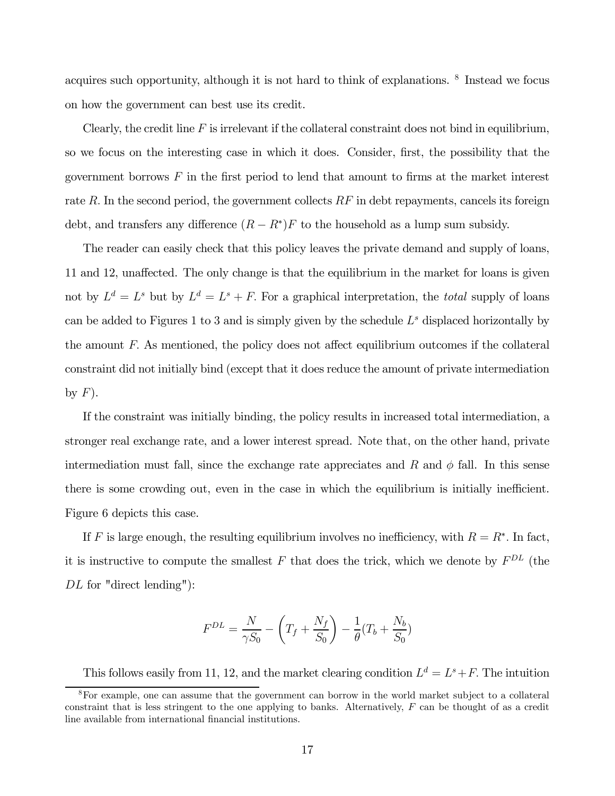acquires such opportunity, although it is not hard to think of explanations. <sup>8</sup> Instead we focus on how the government can best use its credit.

Clearly, the credit line  $F$  is irrelevant if the collateral constraint does not bind in equilibrium, so we focus on the interesting case in which it does. Consider, first, the possibility that the government borrows  $F$  in the first period to lend that amount to firms at the market interest rate  $R$ . In the second period, the government collects  $RF$  in debt repayments, cancels its foreign debt, and transfers any difference  $(R - R^*)F$  to the household as a lump sum subsidy.

The reader can easily check that this policy leaves the private demand and supply of loans, 11 and 12, unaffected. The only change is that the equilibrium in the market for loans is given not by  $L^d = L^s$  but by  $L^d = L^s + F$ . For a graphical interpretation, the *total* supply of loans can be added to Figures 1 to 3 and is simply given by the schedule  $L^s$  displaced horizontally by the amount  $F$ . As mentioned, the policy does not affect equilibrium outcomes if the collateral constraint did not initially bind (except that it does reduce the amount of private intermediation by  $F$ ).

If the constraint was initially binding, the policy results in increased total intermediation, a stronger real exchange rate, and a lower interest spread. Note that, on the other hand, private intermediation must fall, since the exchange rate appreciates and  $R$  and  $\phi$  fall. In this sense there is some crowding out, even in the case in which the equilibrium is initially inefficient. Figure 6 depicts this case.

If F is large enough, the resulting equilibrium involves no inefficiency, with  $R = R^*$ . In fact, it is instructive to compute the smallest  $F$  that does the trick, which we denote by  $F^{DL}$  (the  $DL$  for "direct lending"):

$$
F^{DL} = \frac{N}{\gamma S_0} - \left(T_f + \frac{N_f}{S_0}\right) - \frac{1}{\theta}(T_b + \frac{N_b}{S_0})
$$

This follows easily from 11, 12, and the market clearing condition  $L^d = L^s + F$ . The intuition

<sup>8</sup>For example, one can assume that the government can borrow in the world market subject to a collateral constraint that is less stringent to the one applying to banks. Alternatively,  $F$  can be thought of as a credit line available from international financial institutions.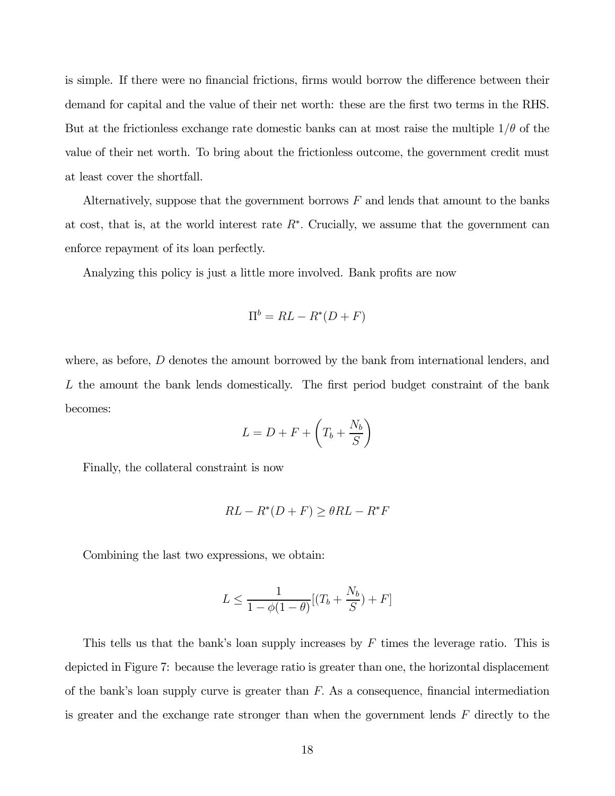is simple. If there were no financial frictions, firms would borrow the difference between their demand for capital and the value of their net worth: these are the first two terms in the RHS. But at the frictionless exchange rate domestic banks can at most raise the multiple  $1/\theta$  of the value of their net worth. To bring about the frictionless outcome, the government credit must at least cover the shortfall.

Alternatively, suppose that the government borrows  $F$  and lends that amount to the banks at cost, that is, at the world interest rate  $R^*$ . Crucially, we assume that the government can enforce repayment of its loan perfectly.

Analyzing this policy is just a little more involved. Bank profits are now

$$
\Pi^b = RL - R^*(D + F)
$$

where, as before,  $D$  denotes the amount borrowed by the bank from international lenders, and  $L$  the amount the bank lends domestically. The first period budget constraint of the bank becomes:

$$
L = D + F + \left(T_b + \frac{N_b}{S}\right)
$$

Finally, the collateral constraint is now

$$
RL - R^*(D + F) \ge \theta RL - R^*F
$$

Combining the last two expressions, we obtain:

$$
L \le \frac{1}{1 - \phi(1 - \theta)} [(T_b + \frac{N_b}{S}) + F]
$$

This tells us that the bank's loan supply increases by  $F$  times the leverage ratio. This is depicted in Figure 7: because the leverage ratio is greater than one, the horizontal displacement of the bank's loan supply curve is greater than  $F$ . As a consequence, financial intermediation is greater and the exchange rate stronger than when the government lends  $F$  directly to the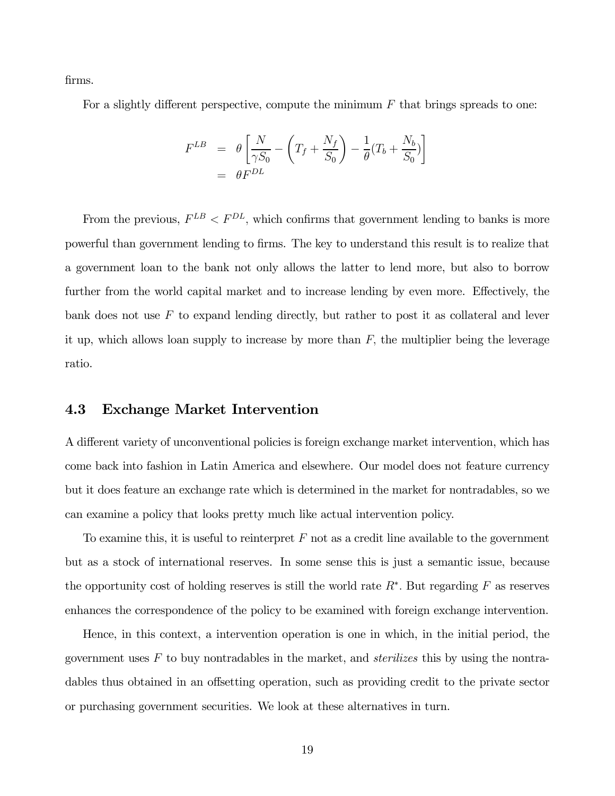firms.

For a slightly different perspective, compute the minimum  $F$  that brings spreads to one:

$$
F^{LB} = \theta \left[ \frac{N}{\gamma S_0} - \left( T_f + \frac{N_f}{S_0} \right) - \frac{1}{\theta} (T_b + \frac{N_b}{S_0}) \right]
$$
  
=  $\theta F^{DL}$ 

From the previous,  $F^{LB} < F^{DL}$ , which confirms that government lending to banks is more powerful than government lending to firms. The key to understand this result is to realize that a government loan to the bank not only allows the latter to lend more, but also to borrow further from the world capital market and to increase lending by even more. Effectively, the bank does not use  $F$  to expand lending directly, but rather to post it as collateral and lever it up, which allows loan supply to increase by more than  $F$ , the multiplier being the leverage ratio.

#### 4.3 Exchange Market Intervention

A different variety of unconventional policies is foreign exchange market intervention, which has come back into fashion in Latin America and elsewhere. Our model does not feature currency but it does feature an exchange rate which is determined in the market for nontradables, so we can examine a policy that looks pretty much like actual intervention policy.

To examine this, it is useful to reinterpret  $F$  not as a credit line available to the government but as a stock of international reserves. In some sense this is just a semantic issue, because the opportunity cost of holding reserves is still the world rate  $R^*$ . But regarding F as reserves enhances the correspondence of the policy to be examined with foreign exchange intervention.

Hence, in this context, a intervention operation is one in which, in the initial period, the government uses  $F$  to buy nontradables in the market, and *sterilizes* this by using the nontradables thus obtained in an offsetting operation, such as providing credit to the private sector or purchasing government securities. We look at these alternatives in turn.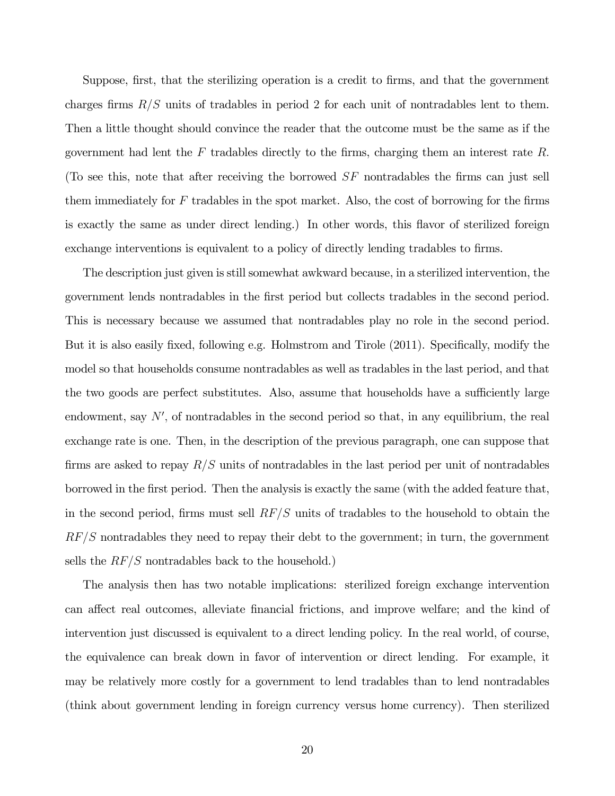Suppose, first, that the sterilizing operation is a credit to firms, and that the government charges firms  $R/S$  units of tradables in period 2 for each unit of nontradables lent to them. Then a little thought should convince the reader that the outcome must be the same as if the government had lent the  $F$  tradables directly to the firms, charging them an interest rate  $R$ . (To see this, note that after receiving the borrowed  $SF$  nontradables the firms can just sell them immediately for  $F$  tradables in the spot market. Also, the cost of borrowing for the firms is exactly the same as under direct lending.) In other words, this flavor of sterilized foreign exchange interventions is equivalent to a policy of directly lending tradables to firms.

The description just given is still somewhat awkward because, in a sterilized intervention, the government lends nontradables in the first period but collects tradables in the second period. This is necessary because we assumed that nontradables play no role in the second period. But it is also easily fixed, following e.g. Holmstrom and Tirole (2011). Specifically, modify the model so that households consume nontradables as well as tradables in the last period, and that the two goods are perfect substitutes. Also, assume that households have a sufficiently large endowment, say  $N'$ , of nontradables in the second period so that, in any equilibrium, the real exchange rate is one. Then, in the description of the previous paragraph, one can suppose that firms are asked to repay  $R/S$  units of nontradables in the last period per unit of nontradables borrowed in the first period. Then the analysis is exactly the same (with the added feature that, in the second period, firms must sell  $RF/S$  units of tradables to the household to obtain the  $RF/S$  nontradables they need to repay their debt to the government; in turn, the government sells the  $RF/S$  nontradables back to the household.)

The analysis then has two notable implications: sterilized foreign exchange intervention can affect real outcomes, alleviate financial frictions, and improve welfare; and the kind of intervention just discussed is equivalent to a direct lending policy. In the real world, of course, the equivalence can break down in favor of intervention or direct lending. For example, it may be relatively more costly for a government to lend tradables than to lend nontradables (think about government lending in foreign currency versus home currency). Then sterilized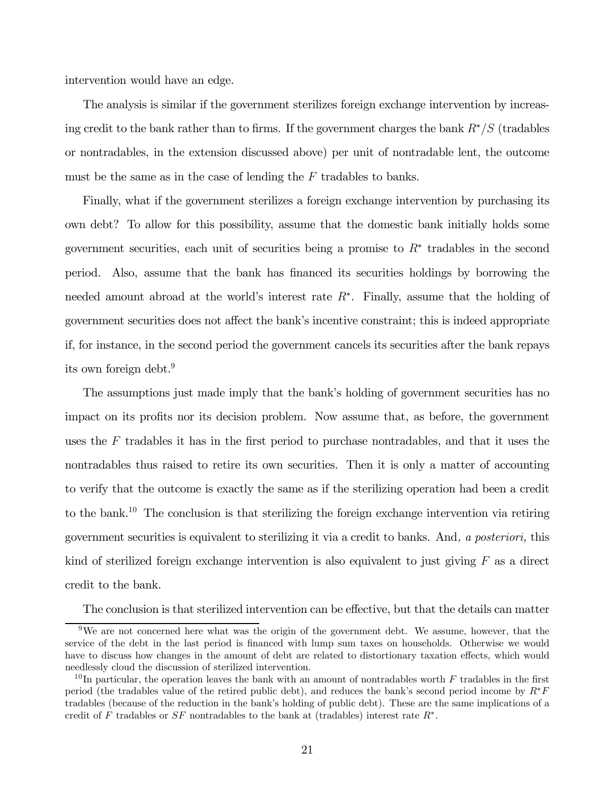intervention would have an edge.

The analysis is similar if the government sterilizes foreign exchange intervention by increasing credit to the bank rather than to firms. If the government charges the bank  $R^*/S$  (tradables or nontradables, in the extension discussed above) per unit of nontradable lent, the outcome must be the same as in the case of lending the  $F$  tradables to banks.

Finally, what if the government sterilizes a foreign exchange intervention by purchasing its own debt? To allow for this possibility, assume that the domestic bank initially holds some government securities, each unit of securities being a promise to  $R^*$  tradables in the second period. Also, assume that the bank has financed its securities holdings by borrowing the needed amount abroad at the world's interest rate  $R^*$ . Finally, assume that the holding of government securities does not affect the bank's incentive constraint; this is indeed appropriate if, for instance, in the second period the government cancels its securities after the bank repays its own foreign debt.<sup>9</sup>

The assumptions just made imply that the bank's holding of government securities has no impact on its profits nor its decision problem. Now assume that, as before, the government uses the  $F$  tradables it has in the first period to purchase nontradables, and that it uses the nontradables thus raised to retire its own securities. Then it is only a matter of accounting to verify that the outcome is exactly the same as if the sterilizing operation had been a credit to the bank.<sup>10</sup> The conclusion is that sterilizing the foreign exchange intervention via retiring government securities is equivalent to sterilizing it via a credit to banks. And, a posteriori, this kind of sterilized foreign exchange intervention is also equivalent to just giving  $F$  as a direct credit to the bank.

The conclusion is that sterilized intervention can be effective, but that the details can matter

<sup>&</sup>lt;sup>9</sup>We are not concerned here what was the origin of the government debt. We assume, however, that the service of the debt in the last period is financed with lump sum taxes on households. Otherwise we would have to discuss how changes in the amount of debt are related to distortionary taxation effects, which would needlessly cloud the discussion of sterilized intervention.

<sup>&</sup>lt;sup>10</sup>In particular, the operation leaves the bank with an amount of nontradables worth  $F$  tradables in the first period (the tradables value of the retired public debt), and reduces the bank's second period income by  $R^*F$ tradables (because of the reduction in the bank's holding of public debt). These are the same implications of a credit of F tradables or  $SF$  nontradables to the bank at (tradables) interest rate  $R^*$ .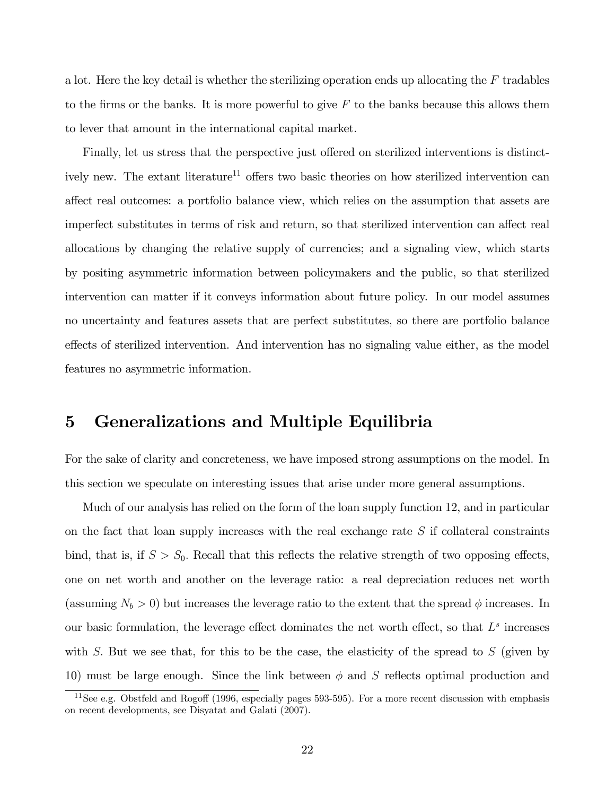a lot. Here the key detail is whether the sterilizing operation ends up allocating the  $F$  tradables to the firms or the banks. It is more powerful to give  $F$  to the banks because this allows them to lever that amount in the international capital market.

Finally, let us stress that the perspective just offered on sterilized interventions is distinctively new. The extant literature<sup>11</sup> offers two basic theories on how sterilized intervention can affect real outcomes: a portfolio balance view, which relies on the assumption that assets are imperfect substitutes in terms of risk and return, so that sterilized intervention can affect real allocations by changing the relative supply of currencies; and a signaling view, which starts by positing asymmetric information between policymakers and the public, so that sterilized intervention can matter if it conveys information about future policy. In our model assumes no uncertainty and features assets that are perfect substitutes, so there are portfolio balance effects of sterilized intervention. And intervention has no signaling value either, as the model features no asymmetric information.

## 5 Generalizations and Multiple Equilibria

For the sake of clarity and concreteness, we have imposed strong assumptions on the model. In this section we speculate on interesting issues that arise under more general assumptions.

Much of our analysis has relied on the form of the loan supply function 12, and in particular on the fact that loan supply increases with the real exchange rate  $S$  if collateral constraints bind, that is, if  $S > S_0$ . Recall that this reflects the relative strength of two opposing effects, one on net worth and another on the leverage ratio: a real depreciation reduces net worth (assuming  $N_b > 0$ ) but increases the leverage ratio to the extent that the spread  $\phi$  increases. In our basic formulation, the leverage effect dominates the net worth effect, so that  $L^s$  increases with  $S$ . But we see that, for this to be the case, the elasticity of the spread to  $S$  (given by 10) must be large enough. Since the link between  $\phi$  and S reflects optimal production and

 $11$ See e.g. Obstfeld and Rogoff (1996, especially pages 593-595). For a more recent discussion with emphasis on recent developments, see Disyatat and Galati (2007).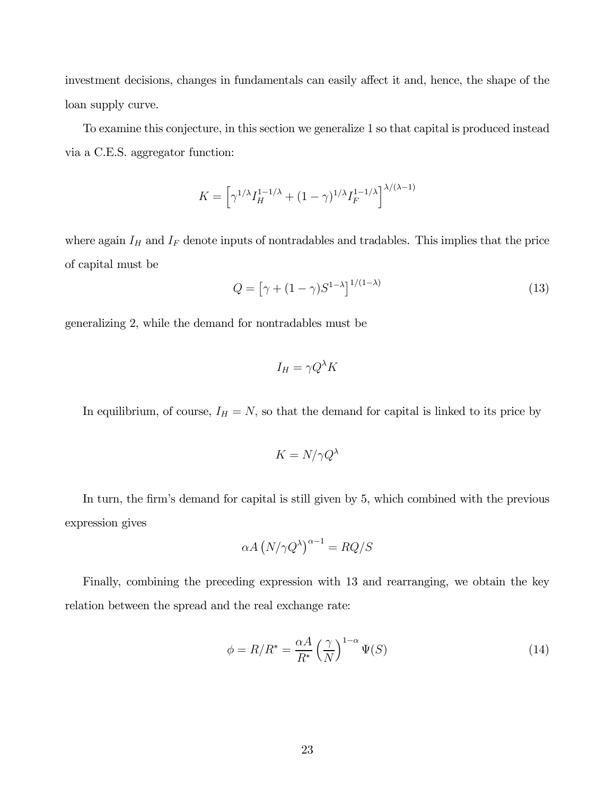investment decisions, changes in fundamentals can easily affect it and, hence, the shape of the loan supply curve.

To examine this conjecture, in this section we generalize 1 so that capital is produced instead via a C.E.S. aggregator function:

$$
K = \left[\gamma^{1/\lambda}I_H^{1-1/\lambda} + (1-\gamma)^{1/\lambda}I_F^{1-1/\lambda}\right]^{\lambda/(\lambda-1)}
$$

where again  $I_H$  and  $I_F$  denote inputs of nontradables and tradables. This implies that the price of capital must be

$$
Q = \left[\gamma + (1 - \gamma)S^{1-\lambda}\right]^{1/(1-\lambda)}\tag{13}
$$

generalizing 2, while the demand for nontradables must be

$$
I_H = \gamma Q^{\lambda} K
$$

In equilibrium, of course,  $I_H = N$ , so that the demand for capital is linked to its price by

$$
K = N/\gamma Q^{\lambda}
$$

In turn, the firm's demand for capital is still given by 5, which combined with the previous expression gives

$$
\alpha A \left( N/\gamma Q^{\lambda} \right)^{\alpha - 1} = RQ/S
$$

Finally, combining the preceding expression with 13 and rearranging, we obtain the key relation between the spread and the real exchange rate:

$$
\phi = R/R^* = \frac{\alpha A}{R^*} \left(\frac{\gamma}{N}\right)^{1-\alpha} \Psi(S)
$$
\n(14)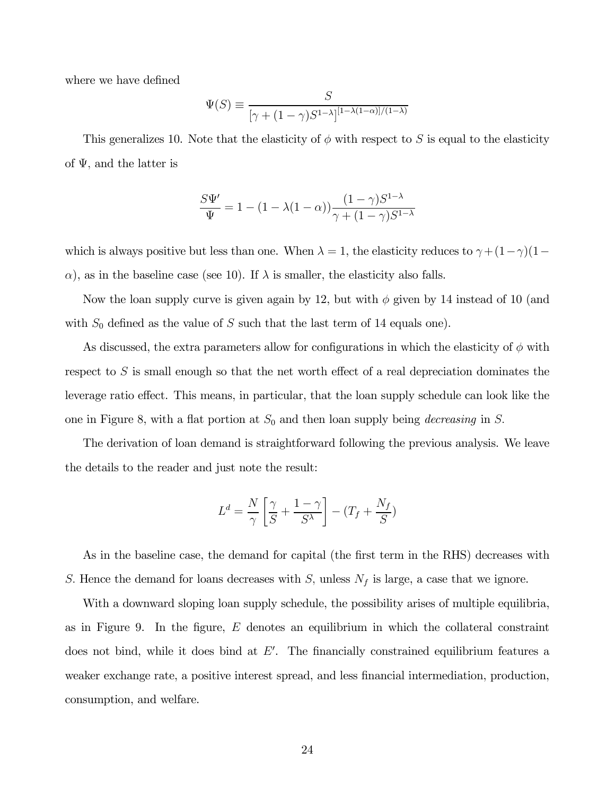where we have defined

$$
\Psi(S) \equiv \frac{S}{\left[\gamma + (1 - \gamma)S^{1-\lambda}\right]^{[1-\lambda(1-\alpha)]/(1-\lambda)}}
$$

This generalizes 10. Note that the elasticity of  $\phi$  with respect to S is equal to the elasticity of  $\Psi$ , and the latter is

$$
\frac{S\Psi'}{\Psi} = 1 - (1 - \lambda(1 - \alpha)) \frac{(1 - \gamma)S^{1 - \lambda}}{\gamma + (1 - \gamma)S^{1 - \lambda}}
$$

which is always positive but less than one. When  $\lambda = 1$ , the elasticity reduces to  $\gamma + (1 - \gamma)(1 - \gamma)$  $\alpha$ ), as in the baseline case (see 10). If  $\lambda$  is smaller, the elasticity also falls.

Now the loan supply curve is given again by 12, but with  $\phi$  given by 14 instead of 10 (and with  $S_0$  defined as the value of S such that the last term of 14 equals one).

As discussed, the extra parameters allow for configurations in which the elasticity of  $\phi$  with respect to  $S$  is small enough so that the net worth effect of a real depreciation dominates the leverage ratio effect. This means, in particular, that the loan supply schedule can look like the one in Figure 8, with a flat portion at  $S_0$  and then loan supply being *decreasing* in S.

The derivation of loan demand is straightforward following the previous analysis. We leave the details to the reader and just note the result:

$$
L^d = \frac{N}{\gamma} \left[ \frac{\gamma}{S} + \frac{1-\gamma}{S^{\lambda}} \right] - (T_f + \frac{N_f}{S})
$$

As in the baseline case, the demand for capital (the first term in the RHS) decreases with S. Hence the demand for loans decreases with  $S$ , unless  $N_f$  is large, a case that we ignore.

With a downward sloping loan supply schedule, the possibility arises of multiple equilibria, as in Figure 9. In the figure,  $E$  denotes an equilibrium in which the collateral constraint does not bind, while it does bind at  $E'$ . The financially constrained equilibrium features a weaker exchange rate, a positive interest spread, and less financial intermediation, production, consumption, and welfare.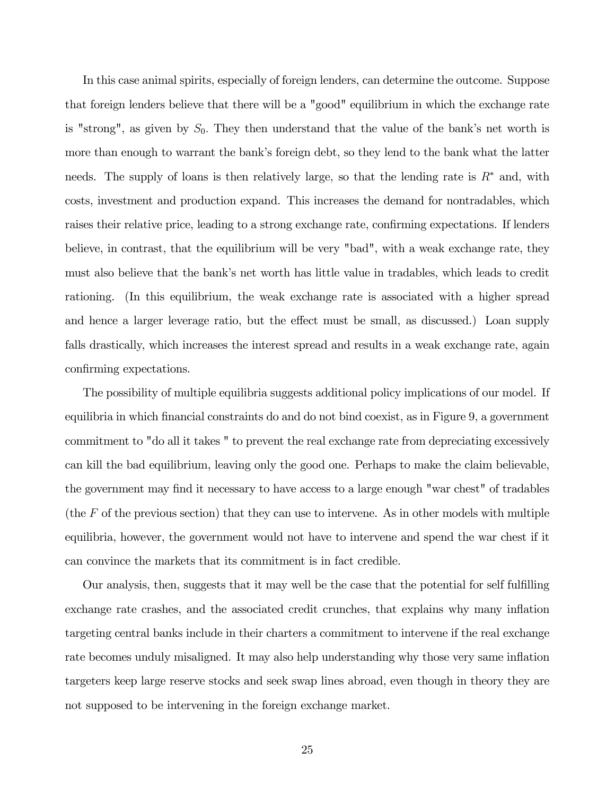In this case animal spirits, especially of foreign lenders, can determine the outcome. Suppose that foreign lenders believe that there will be a "good" equilibrium in which the exchange rate is "strong", as given by  $S_0$ . They then understand that the value of the bank's net worth is more than enough to warrant the bank's foreign debt, so they lend to the bank what the latter needs. The supply of loans is then relatively large, so that the lending rate is  $R^*$  and, with costs, investment and production expand. This increases the demand for nontradables, which raises their relative price, leading to a strong exchange rate, confirming expectations. If lenders believe, in contrast, that the equilibrium will be very "bad", with a weak exchange rate, they must also believe that the bank's net worth has little value in tradables, which leads to credit rationing. (In this equilibrium, the weak exchange rate is associated with a higher spread and hence a larger leverage ratio, but the effect must be small, as discussed.) Loan supply falls drastically, which increases the interest spread and results in a weak exchange rate, again confirming expectations.

The possibility of multiple equilibria suggests additional policy implications of our model. If equilibria in which financial constraints do and do not bind coexist, as in Figure 9, a government commitment to "do all it takes " to prevent the real exchange rate from depreciating excessively can kill the bad equilibrium, leaving only the good one. Perhaps to make the claim believable, the government may find it necessary to have access to a large enough "war chest" of tradables (the  $F$  of the previous section) that they can use to intervene. As in other models with multiple equilibria, however, the government would not have to intervene and spend the war chest if it can convince the markets that its commitment is in fact credible.

Our analysis, then, suggests that it may well be the case that the potential for self fulfilling exchange rate crashes, and the associated credit crunches, that explains why many inflation targeting central banks include in their charters a commitment to intervene if the real exchange rate becomes unduly misaligned. It may also help understanding why those very same inflation targeters keep large reserve stocks and seek swap lines abroad, even though in theory they are not supposed to be intervening in the foreign exchange market.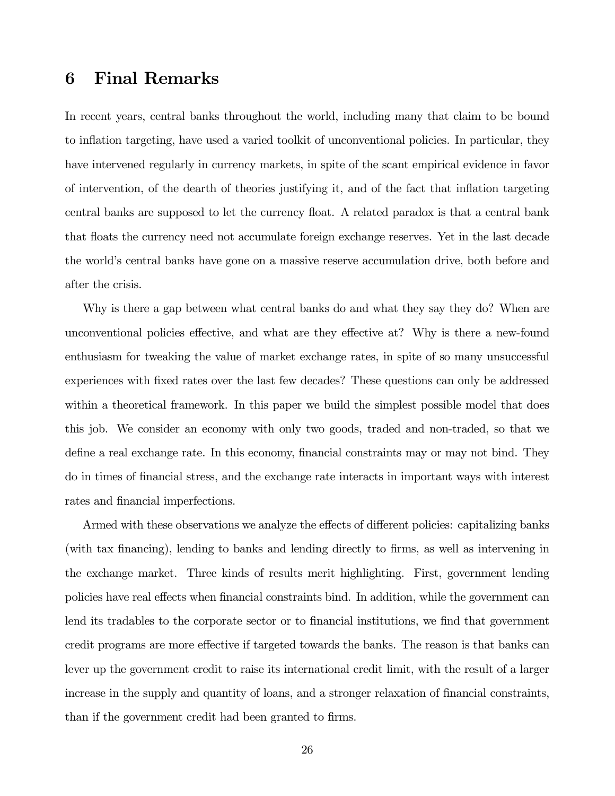# 6 Final Remarks

In recent years, central banks throughout the world, including many that claim to be bound to inflation targeting, have used a varied toolkit of unconventional policies. In particular, they have intervened regularly in currency markets, in spite of the scant empirical evidence in favor of intervention, of the dearth of theories justifying it, and of the fact that inflation targeting central banks are supposed to let the currency float. A related paradox is that a central bank that floats the currency need not accumulate foreign exchange reserves. Yet in the last decade the world's central banks have gone on a massive reserve accumulation drive, both before and after the crisis.

Why is there a gap between what central banks do and what they say they do? When are unconventional policies effective, and what are they effective at? Why is there a new-found enthusiasm for tweaking the value of market exchange rates, in spite of so many unsuccessful experiences with fixed rates over the last few decades? These questions can only be addressed within a theoretical framework. In this paper we build the simplest possible model that does this job. We consider an economy with only two goods, traded and non-traded, so that we define a real exchange rate. In this economy, financial constraints may or may not bind. They do in times of financial stress, and the exchange rate interacts in important ways with interest rates and financial imperfections.

Armed with these observations we analyze the effects of different policies: capitalizing banks (with tax financing), lending to banks and lending directly to firms, as well as intervening in the exchange market. Three kinds of results merit highlighting. First, government lending policies have real effects when financial constraints bind. In addition, while the government can lend its tradables to the corporate sector or to financial institutions, we find that government credit programs are more effective if targeted towards the banks. The reason is that banks can lever up the government credit to raise its international credit limit, with the result of a larger increase in the supply and quantity of loans, and a stronger relaxation of financial constraints, than if the government credit had been granted to firms.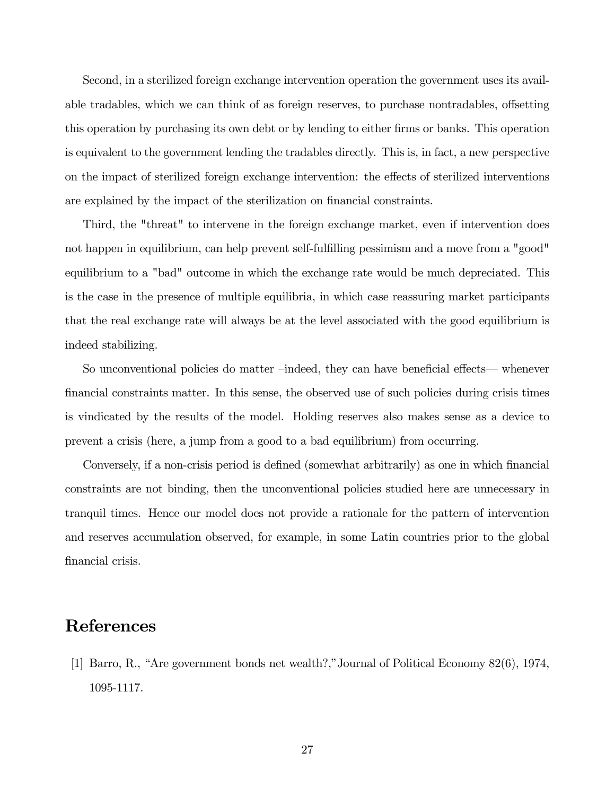Second, in a sterilized foreign exchange intervention operation the government uses its available tradables, which we can think of as foreign reserves, to purchase nontradables, offsetting this operation by purchasing its own debt or by lending to either firms or banks. This operation is equivalent to the government lending the tradables directly. This is, in fact, a new perspective on the impact of sterilized foreign exchange intervention: the effects of sterilized interventions are explained by the impact of the sterilization on financial constraints.

Third, the "threat" to intervene in the foreign exchange market, even if intervention does not happen in equilibrium, can help prevent self-fulfilling pessimism and a move from a "good" equilibrium to a "bad" outcome in which the exchange rate would be much depreciated. This is the case in the presence of multiple equilibria, in which case reassuring market participants that the real exchange rate will always be at the level associated with the good equilibrium is indeed stabilizing.

So unconventional policies do matter —indeed, they can have beneficial effects– whenever financial constraints matter. In this sense, the observed use of such policies during crisis times is vindicated by the results of the model. Holding reserves also makes sense as a device to prevent a crisis (here, a jump from a good to a bad equilibrium) from occurring.

Conversely, if a non-crisis period is defined (somewhat arbitrarily) as one in which financial constraints are not binding, then the unconventional policies studied here are unnecessary in tranquil times. Hence our model does not provide a rationale for the pattern of intervention and reserves accumulation observed, for example, in some Latin countries prior to the global financial crisis.

# **References**

[1] Barro, R., "Are government bonds net wealth?,"Journal of Political Economy 82(6), 1974, 1095-1117.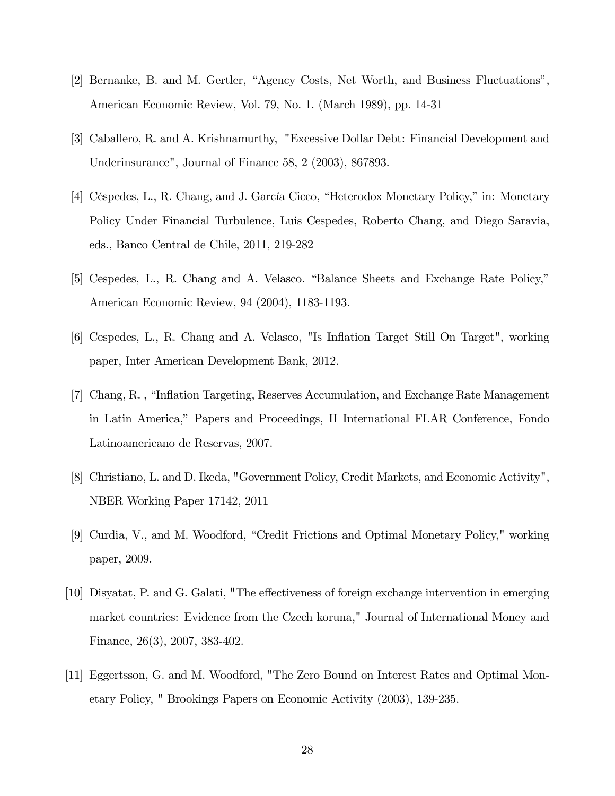- [2] Bernanke, B. and M. Gertler, "Agency Costs, Net Worth, and Business Fluctuations", American Economic Review, Vol. 79, No. 1. (March 1989), pp. 14-31
- [3] Caballero, R. and A. Krishnamurthy, "Excessive Dollar Debt: Financial Development and Underinsurance", Journal of Finance 58, 2 (2003), 867893.
- [4] Céspedes, L., R. Chang, and J. García Cicco, "Heterodox Monetary Policy," in: Monetary Policy Under Financial Turbulence, Luis Cespedes, Roberto Chang, and Diego Saravia, eds., Banco Central de Chile, 2011, 219-282
- [5] Cespedes, L., R. Chang and A. Velasco. "Balance Sheets and Exchange Rate Policy," American Economic Review, 94 (2004), 1183-1193.
- [6] Cespedes, L., R. Chang and A. Velasco, "Is Inflation Target Still On Target", working paper, Inter American Development Bank, 2012.
- [7] Chang, R. , "Inflation Targeting, Reserves Accumulation, and Exchange Rate Management in Latin America," Papers and Proceedings, II International FLAR Conference, Fondo Latinoamericano de Reservas, 2007.
- [8] Christiano, L. and D. Ikeda, "Government Policy, Credit Markets, and Economic Activity", NBER Working Paper 17142, 2011
- [9] Curdia, V., and M. Woodford, "Credit Frictions and Optimal Monetary Policy," working paper, 2009.
- [10] Disyatat, P. and G. Galati, "The effectiveness of foreign exchange intervention in emerging market countries: Evidence from the Czech koruna," Journal of International Money and Finance, 26(3), 2007, 383-402.
- [11] Eggertsson, G. and M. Woodford, "The Zero Bound on Interest Rates and Optimal Monetary Policy, " Brookings Papers on Economic Activity (2003), 139-235.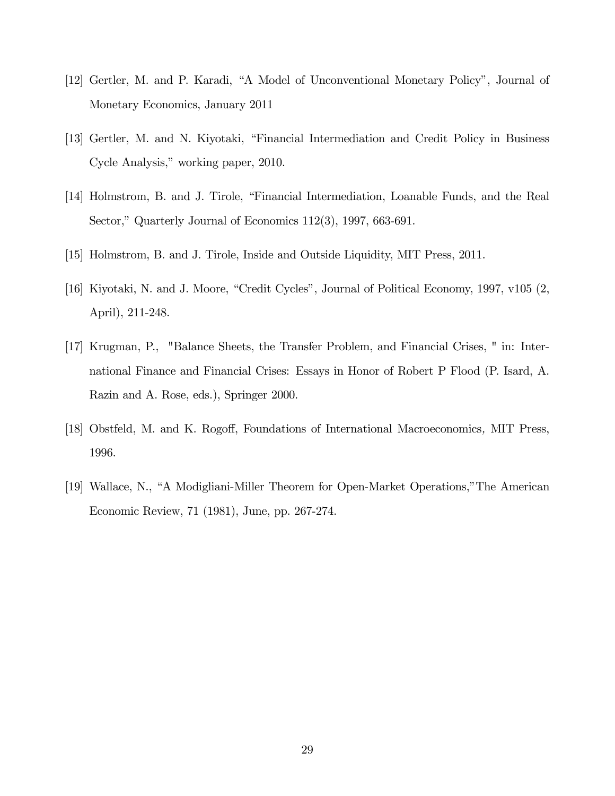- [12] Gertler, M. and P. Karadi, "A Model of Unconventional Monetary Policy", Journal of Monetary Economics, January 2011
- [13] Gertler, M. and N. Kiyotaki, "Financial Intermediation and Credit Policy in Business Cycle Analysis," working paper, 2010.
- [14] Holmstrom, B. and J. Tirole, "Financial Intermediation, Loanable Funds, and the Real Sector," Quarterly Journal of Economics 112(3), 1997, 663-691.
- [15] Holmstrom, B. and J. Tirole, Inside and Outside Liquidity, MIT Press, 2011.
- [16] Kiyotaki, N. and J. Moore, "Credit Cycles", Journal of Political Economy, 1997, v105 (2, April), 211-248.
- [17] Krugman, P., "Balance Sheets, the Transfer Problem, and Financial Crises, " in: International Finance and Financial Crises: Essays in Honor of Robert P Flood (P. Isard, A. Razin and A. Rose, eds.), Springer 2000.
- [18] Obstfeld, M. and K. Rogoff, Foundations of International Macroeconomics, MIT Press, 1996.
- [19] Wallace, N., "A Modigliani-Miller Theorem for Open-Market Operations,"The American Economic Review, 71 (1981), June, pp. 267-274.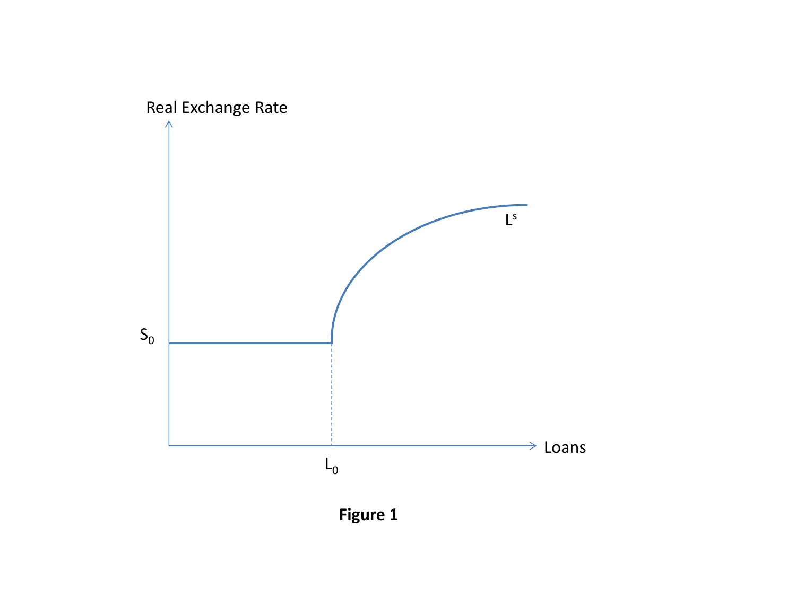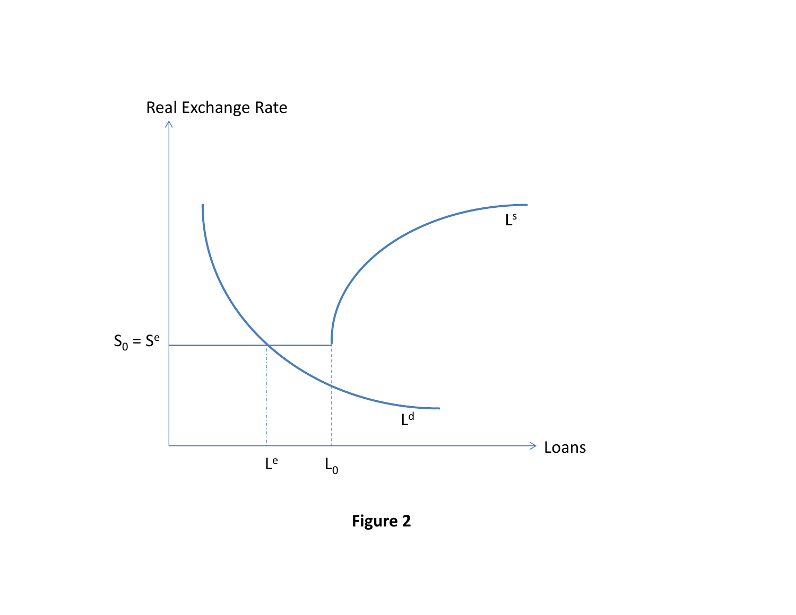

Figure 2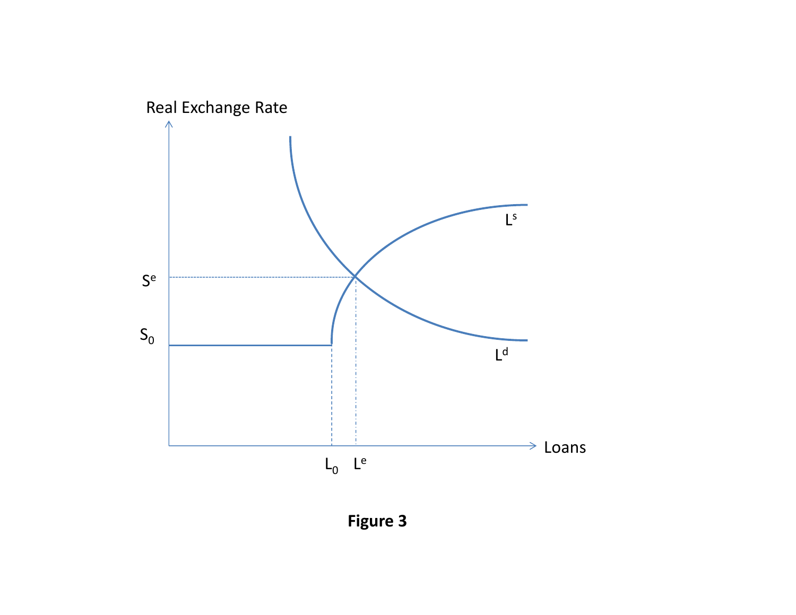

Figure 3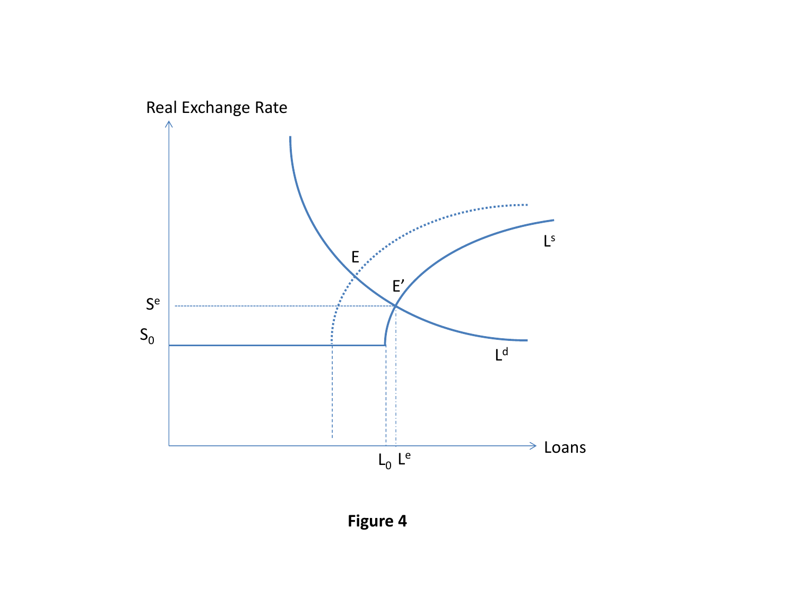

Figure 4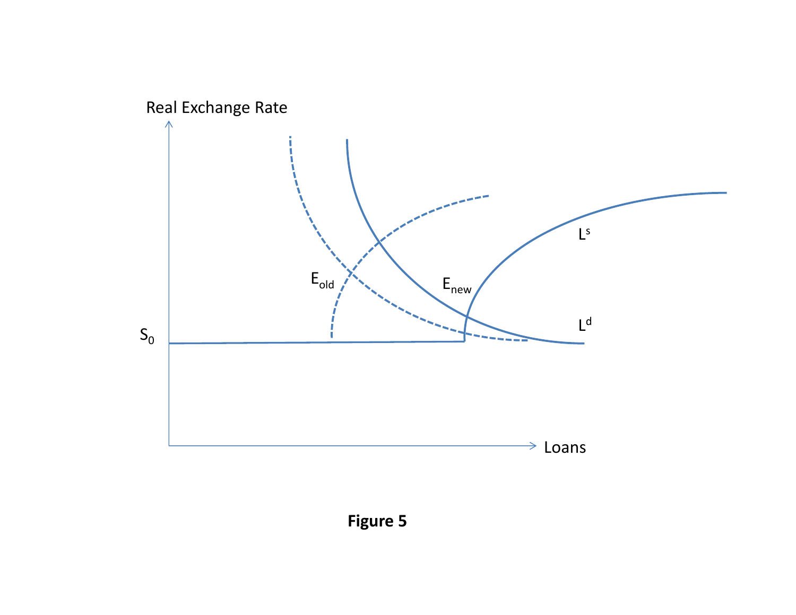

Figure 5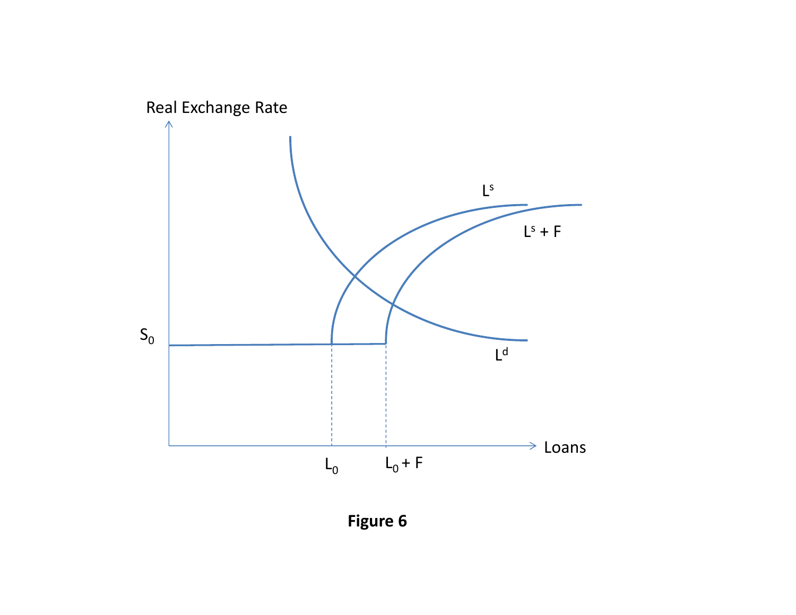

**Figure 6**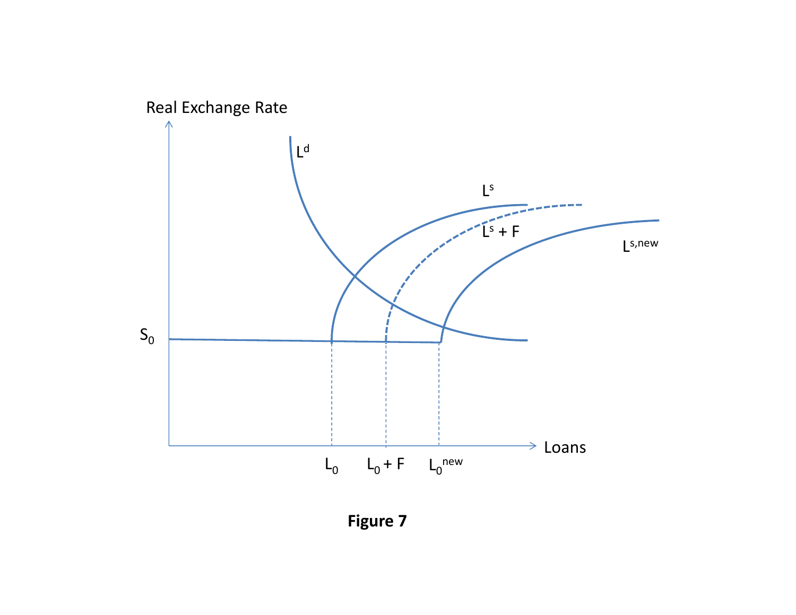

**Figure 7**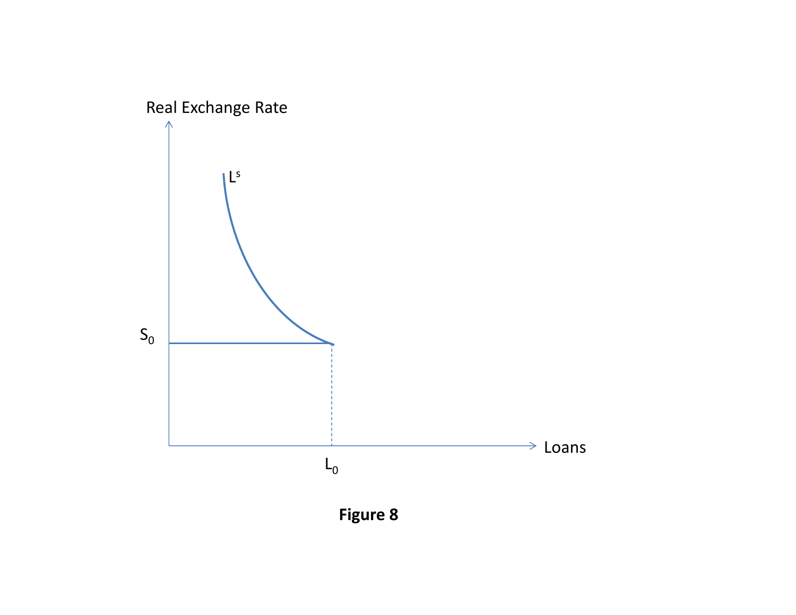